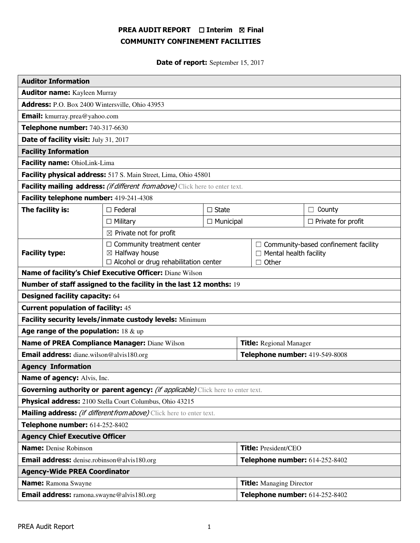# PREA AUDIT REPORT □ Interim 図 Final COMMUNITY CONFINEMENT FACILITIES

Date of report: September 15, 2017

| <b>Auditor Information</b>                                                      |                                                                                                                |                                |                                 |                                                                                              |                           |
|---------------------------------------------------------------------------------|----------------------------------------------------------------------------------------------------------------|--------------------------------|---------------------------------|----------------------------------------------------------------------------------------------|---------------------------|
| <b>Auditor name:</b> Kayleen Murray                                             |                                                                                                                |                                |                                 |                                                                                              |                           |
| Address: P.O. Box 2400 Wintersville, Ohio 43953                                 |                                                                                                                |                                |                                 |                                                                                              |                           |
| <b>Email:</b> kmurray.prea@yahoo.com                                            |                                                                                                                |                                |                                 |                                                                                              |                           |
| Telephone number: 740-317-6630                                                  |                                                                                                                |                                |                                 |                                                                                              |                           |
| Date of facility visit: July 31, 2017                                           |                                                                                                                |                                |                                 |                                                                                              |                           |
| <b>Facility Information</b>                                                     |                                                                                                                |                                |                                 |                                                                                              |                           |
| Facility name: OhioLink-Lima                                                    |                                                                                                                |                                |                                 |                                                                                              |                           |
| Facility physical address: 517 S. Main Street, Lima, Ohio 45801                 |                                                                                                                |                                |                                 |                                                                                              |                           |
| Facility mailing address: (if different from above) Click here to enter text.   |                                                                                                                |                                |                                 |                                                                                              |                           |
| Facility telephone number: 419-241-4308                                         |                                                                                                                |                                |                                 |                                                                                              |                           |
| The facility is:                                                                | $\Box$ Federal                                                                                                 | $\Box$ State                   |                                 |                                                                                              | $\Box$ County             |
|                                                                                 | $\Box$ Military                                                                                                | $\Box$ Municipal               |                                 |                                                                                              | $\Box$ Private for profit |
| $\boxtimes$ Private not for profit                                              |                                                                                                                |                                |                                 |                                                                                              |                           |
| <b>Facility type:</b>                                                           | $\Box$ Community treatment center<br>$\boxtimes$ Halfway house<br>$\Box$ Alcohol or drug rehabilitation center |                                |                                 | $\Box$ Community-based confinement facility<br>$\Box$ Mental health facility<br>$\Box$ Other |                           |
| Name of facility's Chief Executive Officer: Diane Wilson                        |                                                                                                                |                                |                                 |                                                                                              |                           |
| Number of staff assigned to the facility in the last 12 months: 19              |                                                                                                                |                                |                                 |                                                                                              |                           |
| <b>Designed facility capacity: 64</b>                                           |                                                                                                                |                                |                                 |                                                                                              |                           |
| <b>Current population of facility: 45</b>                                       |                                                                                                                |                                |                                 |                                                                                              |                           |
| Facility security levels/inmate custody levels: Minimum                         |                                                                                                                |                                |                                 |                                                                                              |                           |
| Age range of the population: $18 \& up$                                         |                                                                                                                |                                |                                 |                                                                                              |                           |
| Name of PREA Compliance Manager: Diane Wilson                                   |                                                                                                                |                                | <b>Title:</b> Regional Manager  |                                                                                              |                           |
| <b>Email address:</b> diane.wilson@alvis180.org                                 |                                                                                                                |                                | Telephone number: 419-549-8008  |                                                                                              |                           |
| <b>Agency Information</b>                                                       |                                                                                                                |                                |                                 |                                                                                              |                           |
| Name of agency: Alvis, Inc.                                                     |                                                                                                                |                                |                                 |                                                                                              |                           |
| Governing authority or parent agency: (if applicable) Click here to enter text. |                                                                                                                |                                |                                 |                                                                                              |                           |
| Physical address: 2100 Stella Court Columbus, Ohio 43215                        |                                                                                                                |                                |                                 |                                                                                              |                           |
| Mailing address: <i>(if different from above)</i> Click here to enter text.     |                                                                                                                |                                |                                 |                                                                                              |                           |
| Telephone number: 614-252-8402                                                  |                                                                                                                |                                |                                 |                                                                                              |                           |
| <b>Agency Chief Executive Officer</b>                                           |                                                                                                                |                                |                                 |                                                                                              |                           |
| <b>Name:</b> Denise Robinson                                                    |                                                                                                                |                                | <b>Title: President/CEO</b>     |                                                                                              |                           |
| <b>Email address:</b> denise.robinson@alvis180.org                              |                                                                                                                |                                | Telephone number: 614-252-8402  |                                                                                              |                           |
| <b>Agency-Wide PREA Coordinator</b>                                             |                                                                                                                |                                |                                 |                                                                                              |                           |
| <b>Name:</b> Ramona Swayne                                                      |                                                                                                                |                                | <b>Title:</b> Managing Director |                                                                                              |                           |
| <b>Email address:</b> ramona.swayne@alvis180.org                                |                                                                                                                | Telephone number: 614-252-8402 |                                 |                                                                                              |                           |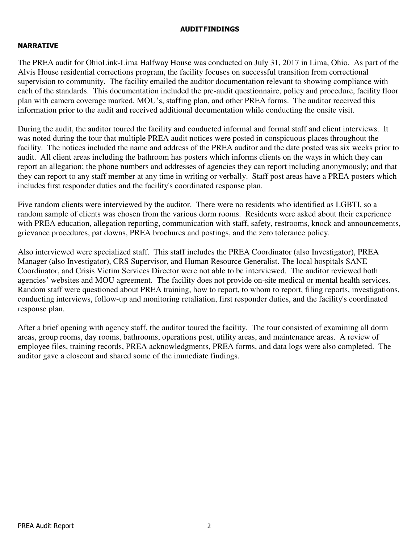# AUDIT FINDINGS

# NARRATIVE

The PREA audit for OhioLink-Lima Halfway House was conducted on July 31, 2017 in Lima, Ohio. As part of the Alvis House residential corrections program, the facility focuses on successful transition from correctional supervision to community. The facility emailed the auditor documentation relevant to showing compliance with each of the standards. This documentation included the pre-audit questionnaire, policy and procedure, facility floor plan with camera coverage marked, MOU's, staffing plan, and other PREA forms. The auditor received this information prior to the audit and received additional documentation while conducting the onsite visit.

During the audit, the auditor toured the facility and conducted informal and formal staff and client interviews. It was noted during the tour that multiple PREA audit notices were posted in conspicuous places throughout the facility. The notices included the name and address of the PREA auditor and the date posted was six weeks prior to audit. All client areas including the bathroom has posters which informs clients on the ways in which they can report an allegation; the phone numbers and addresses of agencies they can report including anonymously; and that they can report to any staff member at any time in writing or verbally. Staff post areas have a PREA posters which includes first responder duties and the facility's coordinated response plan.

Five random clients were interviewed by the auditor. There were no residents who identified as LGBTI, so a random sample of clients was chosen from the various dorm rooms. Residents were asked about their experience with PREA education, allegation reporting, communication with staff, safety, restrooms, knock and announcements, grievance procedures, pat downs, PREA brochures and postings, and the zero tolerance policy.

Also interviewed were specialized staff. This staff includes the PREA Coordinator (also Investigator), PREA Manager (also Investigator), CRS Supervisor, and Human Resource Generalist. The local hospitals SANE Coordinator, and Crisis Victim Services Director were not able to be interviewed. The auditor reviewed both agencies' websites and MOU agreement. The facility does not provide on-site medical or mental health services. Random staff were questioned about PREA training, how to report, to whom to report, filing reports, investigations, conducting interviews, follow-up and monitoring retaliation, first responder duties, and the facility's coordinated response plan.

After a brief opening with agency staff, the auditor toured the facility. The tour consisted of examining all dorm areas, group rooms, day rooms, bathrooms, operations post, utility areas, and maintenance areas. A review of employee files, training records, PREA acknowledgments, PREA forms, and data logs were also completed. The auditor gave a closeout and shared some of the immediate findings.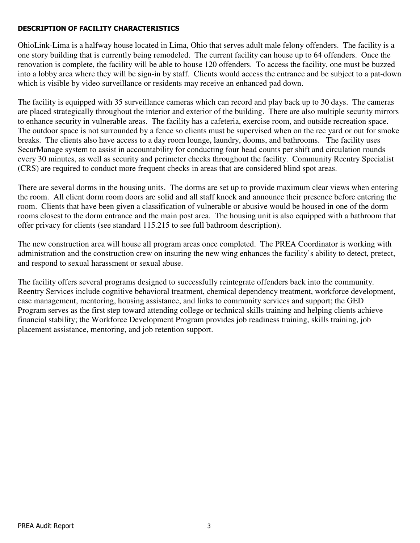# DESCRIPTION OF FACILITY CHARACTERISTICS

OhioLink-Lima is a halfway house located in Lima, Ohio that serves adult male felony offenders. The facility is a one story building that is currently being remodeled. The current facility can house up to 64 offenders. Once the renovation is complete, the facility will be able to house 120 offenders. To access the facility, one must be buzzed into a lobby area where they will be sign-in by staff. Clients would access the entrance and be subject to a pat-down which is visible by video surveillance or residents may receive an enhanced pad down.

The facility is equipped with 35 surveillance cameras which can record and play back up to 30 days. The cameras are placed strategically throughout the interior and exterior of the building. There are also multiple security mirrors to enhance security in vulnerable areas. The facility has a cafeteria, exercise room, and outside recreation space. The outdoor space is not surrounded by a fence so clients must be supervised when on the rec yard or out for smoke breaks. The clients also have access to a day room lounge, laundry, dooms, and bathrooms. The facility uses SecurManage system to assist in accountability for conducting four head counts per shift and circulation rounds every 30 minutes, as well as security and perimeter checks throughout the facility. Community Reentry Specialist (CRS) are required to conduct more frequent checks in areas that are considered blind spot areas.

There are several dorms in the housing units. The dorms are set up to provide maximum clear views when entering the room. All client dorm room doors are solid and all staff knock and announce their presence before entering the room. Clients that have been given a classification of vulnerable or abusive would be housed in one of the dorm rooms closest to the dorm entrance and the main post area. The housing unit is also equipped with a bathroom that offer privacy for clients (see standard 115.215 to see full bathroom description).

The new construction area will house all program areas once completed. The PREA Coordinator is working with administration and the construction crew on insuring the new wing enhances the facility's ability to detect, pretect, and respond to sexual harassment or sexual abuse.

The facility offers several programs designed to successfully reintegrate offenders back into the community. Reentry Services include cognitive behavioral treatment, chemical dependency treatment, workforce development, case management, mentoring, housing assistance, and links to community services and support; the GED Program serves as the first step toward attending college or technical skills training and helping clients achieve financial stability; the Workforce Development Program provides job readiness training, skills training, job placement assistance, mentoring, and job retention support.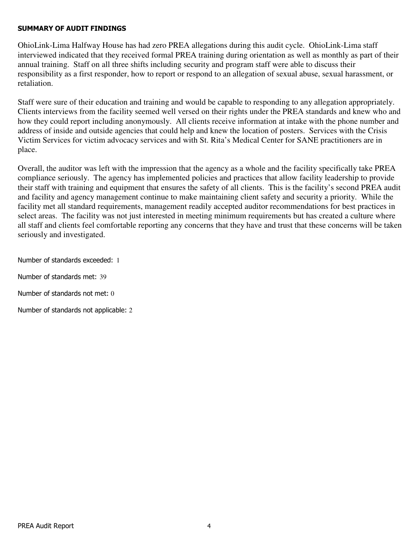### SUMMARY OF AUDIT FINDINGS

OhioLink-Lima Halfway House has had zero PREA allegations during this audit cycle. OhioLink-Lima staff interviewed indicated that they received formal PREA training during orientation as well as monthly as part of their annual training. Staff on all three shifts including security and program staff were able to discuss their responsibility as a first responder, how to report or respond to an allegation of sexual abuse, sexual harassment, or retaliation.

Staff were sure of their education and training and would be capable to responding to any allegation appropriately. Clients interviews from the facility seemed well versed on their rights under the PREA standards and knew who and how they could report including anonymously. All clients receive information at intake with the phone number and address of inside and outside agencies that could help and knew the location of posters. Services with the Crisis Victim Services for victim advocacy services and with St. Rita's Medical Center for SANE practitioners are in place.

Overall, the auditor was left with the impression that the agency as a whole and the facility specifically take PREA compliance seriously. The agency has implemented policies and practices that allow facility leadership to provide their staff with training and equipment that ensures the safety of all clients. This is the facility's second PREA audit and facility and agency management continue to make maintaining client safety and security a priority. While the facility met all standard requirements, management readily accepted auditor recommendations for best practices in select areas. The facility was not just interested in meeting minimum requirements but has created a culture where all staff and clients feel comfortable reporting any concerns that they have and trust that these concerns will be taken seriously and investigated.

Number of standards exceeded: 1

Number of standards met: 39

Number of standards not met: 0

Number of standards not applicable: 2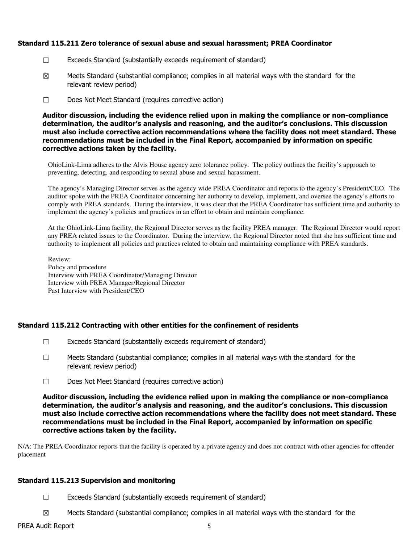### Standard 115.211 Zero tolerance of sexual abuse and sexual harassment; PREA Coordinator

- ☐ Exceeds Standard (substantially exceeds requirement of standard)
- $\boxtimes$  Meets Standard (substantial compliance; complies in all material ways with the standard for the relevant review period)
- ☐ Does Not Meet Standard (requires corrective action)

Auditor discussion, including the evidence relied upon in making the compliance or non-compliance determination, the auditor's analysis and reasoning, and the auditor's conclusions. This discussion must also include corrective action recommendations where the facility does not meet standard. These recommendations must be included in the Final Report, accompanied by information on specific corrective actions taken by the facility.

OhioLink-Lima adheres to the Alvis House agency zero tolerance policy. The policy outlines the facility's approach to preventing, detecting, and responding to sexual abuse and sexual harassment.

The agency's Managing Director serves as the agency wide PREA Coordinator and reports to the agency's President/CEO. The auditor spoke with the PREA Coordinator concerning her authority to develop, implement, and oversee the agency's efforts to comply with PREA standards. During the interview, it was clear that the PREA Coordinator has sufficient time and authority to implement the agency's policies and practices in an effort to obtain and maintain compliance.

At the OhioLink-Lima facility, the Regional Director serves as the facility PREA manager. The Regional Director would report any PREA related issues to the Coordinator. During the interview, the Regional Director noted that she has sufficient time and authority to implement all policies and practices related to obtain and maintaining compliance with PREA standards.

Review: Policy and procedure Interview with PREA Coordinator/Managing Director Interview with PREA Manager/Regional Director Past Interview with President/CEO

### Standard 115.212 Contracting with other entities for the confinement of residents

- ☐ Exceeds Standard (substantially exceeds requirement of standard)
- $\Box$  Meets Standard (substantial compliance; complies in all material ways with the standard for the relevant review period)
- ☐ Does Not Meet Standard (requires corrective action)

Auditor discussion, including the evidence relied upon in making the compliance or non-compliance determination, the auditor's analysis and reasoning, and the auditor's conclusions. This discussion must also include corrective action recommendations where the facility does not meet standard. These recommendations must be included in the Final Report, accompanied by information on specific corrective actions taken by the facility.

N/A: The PREA Coordinator reports that the facility is operated by a private agency and does not contract with other agencies for offender placement

### Standard 115.213 Supervision and monitoring

- $\Box$  Exceeds Standard (substantially exceeds requirement of standard)
- $\boxtimes$  Meets Standard (substantial compliance; complies in all material ways with the standard for the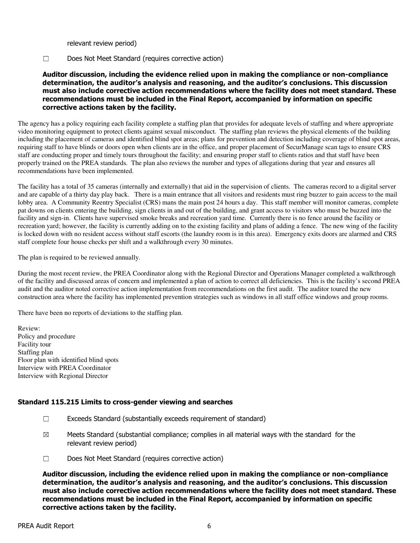relevant review period)

#### ☐ Does Not Meet Standard (requires corrective action)

### Auditor discussion, including the evidence relied upon in making the compliance or non-compliance determination, the auditor's analysis and reasoning, and the auditor's conclusions. This discussion must also include corrective action recommendations where the facility does not meet standard. These recommendations must be included in the Final Report, accompanied by information on specific corrective actions taken by the facility.

The agency has a policy requiring each facility complete a staffing plan that provides for adequate levels of staffing and where appropriate video monitoring equipment to protect clients against sexual misconduct. The staffing plan reviews the physical elements of the building including the placement of cameras and identified blind spot areas; plans for prevention and detection including coverage of blind spot areas, requiring staff to have blinds or doors open when clients are in the office, and proper placement of SecurManage scan tags to ensure CRS staff are conducting proper and timely tours throughout the facility; and ensuring proper staff to clients ratios and that staff have been properly trained on the PREA standards. The plan also reviews the number and types of allegations during that year and ensures all recommendations have been implemented.

The facility has a total of 35 cameras (internally and externally) that aid in the supervision of clients. The cameras record to a digital server and are capable of a thirty day play back. There is a main entrance that all visitors and residents must ring buzzer to gain access to the mail lobby area. A Community Reentry Specialist (CRS) mans the main post 24 hours a day. This staff member will monitor cameras, complete pat downs on clients entering the building, sign clients in and out of the building, and grant access to visitors who must be buzzed into the facility and sign-in. Clients have supervised smoke breaks and recreation yard time. Currently there is no fence around the facility or recreation yard; however, the facility is currently adding on to the existing facility and plans of adding a fence. The new wing of the facility is locked down with no resident access without staff escorts (the laundry room is in this area). Emergency exits doors are alarmed and CRS staff complete four house checks per shift and a walkthrough every 30 minutes.

The plan is required to be reviewed annually.

During the most recent review, the PREA Coordinator along with the Regional Director and Operations Manager completed a walkthrough of the facility and discussed areas of concern and implemented a plan of action to correct all deficiencies. This is the facility's second PREA audit and the auditor noted corrective action implementation from recommendations on the first audit. The auditor toured the new construction area where the facility has implemented prevention strategies such as windows in all staff office windows and group rooms.

There have been no reports of deviations to the staffing plan.

Review: Policy and procedure Facility tour Staffing plan Floor plan with identified blind spots Interview with PREA Coordinator Interview with Regional Director

### Standard 115.215 Limits to cross-gender viewing and searches

- ☐ Exceeds Standard (substantially exceeds requirement of standard)
- $\boxtimes$  Meets Standard (substantial compliance; complies in all material ways with the standard for the relevant review period)
- ☐ Does Not Meet Standard (requires corrective action)

Auditor discussion, including the evidence relied upon in making the compliance or non-compliance determination, the auditor's analysis and reasoning, and the auditor's conclusions. This discussion must also include corrective action recommendations where the facility does not meet standard. These recommendations must be included in the Final Report, accompanied by information on specific corrective actions taken by the facility.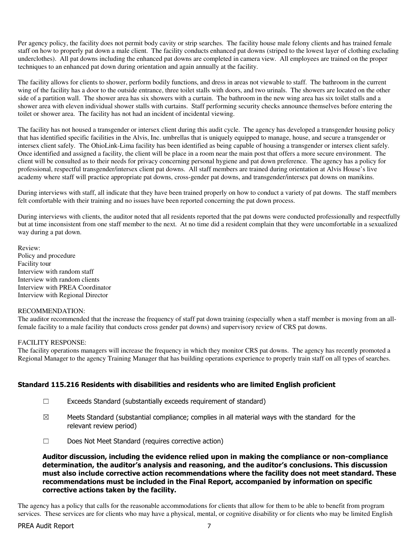Per agency policy, the facility does not permit body cavity or strip searches. The facility house male felony clients and has trained female staff on how to properly pat down a male client. The facility conducts enhanced pat downs (striped to the lowest layer of clothing excluding underclothes). All pat downs including the enhanced pat downs are completed in camera view. All employees are trained on the proper techniques to an enhanced pat down during orientation and again annually at the facility.

The facility allows for clients to shower, perform bodily functions, and dress in areas not viewable to staff. The bathroom in the current wing of the facility has a door to the outside entrance, three toilet stalls with doors, and two urinals. The showers are located on the other side of a partition wall. The shower area has six showers with a curtain. The bathroom in the new wing area has six toilet stalls and a shower area with eleven individual shower stalls with curtains. Staff performing security checks announce themselves before entering the toilet or shower area. The facility has not had an incident of incidental viewing.

The facility has not housed a transgender or intersex client during this audit cycle. The agency has developed a transgender housing policy that has identified specific facilities in the Alvis, Inc. umbrellas that is uniquely equipped to manage, house, and secure a transgender or intersex client safely. The OhioLink-Lima facility has been identified as being capable of housing a transgender or intersex client safely. Once identified and assigned a facility, the client will be place in a room near the main post that offers a more secure environment. The client will be consulted as to their needs for privacy concerning personal hygiene and pat down preference. The agency has a policy for professional, respectful transgender/intersex client pat downs. All staff members are trained during orientation at Alvis House's live academy where staff will practice appropriate pat downs, cross-gender pat downs, and transgender/intersex pat downs on manikins.

During interviews with staff, all indicate that they have been trained properly on how to conduct a variety of pat downs. The staff members felt comfortable with their training and no issues have been reported concerning the pat down process.

During interviews with clients, the auditor noted that all residents reported that the pat downs were conducted professionally and respectfully but at time inconsistent from one staff member to the next. At no time did a resident complain that they were uncomfortable in a sexualized way during a pat down.

Review: Policy and procedure Facility tour Interview with random staff Interview with random clients Interview with PREA Coordinator Interview with Regional Director

#### RECOMMENDATION:

The auditor recommended that the increase the frequency of staff pat down training (especially when a staff member is moving from an allfemale facility to a male facility that conducts cross gender pat downs) and supervisory review of CRS pat downs.

#### FACILITY RESPONSE:

The facility operations managers will increase the frequency in which they monitor CRS pat downs. The agency has recently promoted a Regional Manager to the agency Training Manager that has building operations experience to properly train staff on all types of searches.

#### Standard 115.216 Residents with disabilities and residents who are limited English proficient

- ☐ Exceeds Standard (substantially exceeds requirement of standard)
- $\boxtimes$  Meets Standard (substantial compliance; complies in all material ways with the standard for the relevant review period)
- ☐ Does Not Meet Standard (requires corrective action)

Auditor discussion, including the evidence relied upon in making the compliance or non-compliance determination, the auditor's analysis and reasoning, and the auditor's conclusions. This discussion must also include corrective action recommendations where the facility does not meet standard. These recommendations must be included in the Final Report, accompanied by information on specific corrective actions taken by the facility.

The agency has a policy that calls for the reasonable accommodations for clients that allow for them to be able to benefit from program services. These services are for clients who may have a physical, mental, or cognitive disability or for clients who may be limited English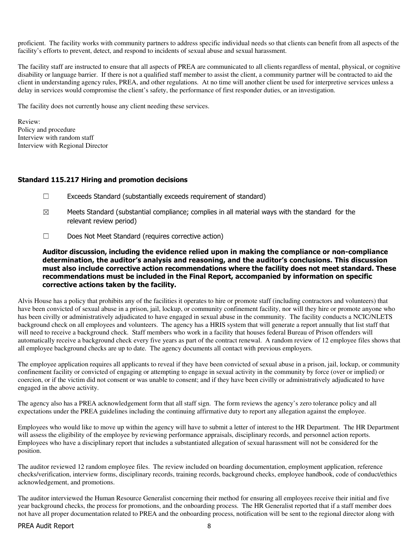proficient. The facility works with community partners to address specific individual needs so that clients can benefit from all aspects of the facility's efforts to prevent, detect, and respond to incidents of sexual abuse and sexual harassment.

The facility staff are instructed to ensure that all aspects of PREA are communicated to all clients regardless of mental, physical, or cognitive disability or language barrier. If there is not a qualified staff member to assist the client, a community partner will be contracted to aid the client in understanding agency rules, PREA, and other regulations. At no time will another client be used for interpretive services unless a delay in services would compromise the client's safety, the performance of first responder duties, or an investigation.

The facility does not currently house any client needing these services.

Review: Policy and procedure Interview with random staff Interview with Regional Director

#### Standard 115.217 Hiring and promotion decisions

- $\Box$  Exceeds Standard (substantially exceeds requirement of standard)
- $\boxtimes$  Meets Standard (substantial compliance; complies in all material ways with the standard for the relevant review period)
- ☐ Does Not Meet Standard (requires corrective action)

Auditor discussion, including the evidence relied upon in making the compliance or non-compliance determination, the auditor's analysis and reasoning, and the auditor's conclusions. This discussion must also include corrective action recommendations where the facility does not meet standard. These recommendations must be included in the Final Report, accompanied by information on specific corrective actions taken by the facility.

Alvis House has a policy that prohibits any of the facilities it operates to hire or promote staff (including contractors and volunteers) that have been convicted of sexual abuse in a prison, jail, lockup, or community confinement facility, nor will they hire or promote anyone who has been civilly or administratively adjudicated to have engaged in sexual abuse in the community. The facility conducts a NCIC/NLETS background check on all employees and volunteers. The agency has a HRIS system that will generate a report annually that list staff that will need to receive a background check. Staff members who work in a facility that houses federal Bureau of Prison offenders will automatically receive a background check every five years as part of the contract renewal. A random review of 12 employee files shows that all employee background checks are up to date. The agency documents all contact with previous employers.

The employee application requires all applicants to reveal if they have been convicted of sexual abuse in a prison, jail, lockup, or community confinement facility or convicted of engaging or attempting to engage in sexual activity in the community by force (over or implied) or coercion, or if the victim did not consent or was unable to consent; and if they have been civilly or administratively adjudicated to have engaged in the above activity.

The agency also has a PREA acknowledgement form that all staff sign. The form reviews the agency's zero tolerance policy and all expectations under the PREA guidelines including the continuing affirmative duty to report any allegation against the employee.

Employees who would like to move up within the agency will have to submit a letter of interest to the HR Department. The HR Department will assess the eligibility of the employee by reviewing performance appraisals, disciplinary records, and personnel action reports. Employees who have a disciplinary report that includes a substantiated allegation of sexual harassment will not be considered for the position.

The auditor reviewed 12 random employee files. The review included on boarding documentation, employment application, reference checks/verification, interview forms, disciplinary records, training records, background checks, employee handbook, code of conduct/ethics acknowledgement, and promotions.

The auditor interviewed the Human Resource Generalist concerning their method for ensuring all employees receive their initial and five year background checks, the process for promotions, and the onboarding process. The HR Generalist reported that if a staff member does not have all proper documentation related to PREA and the onboarding process, notification will be sent to the regional director along with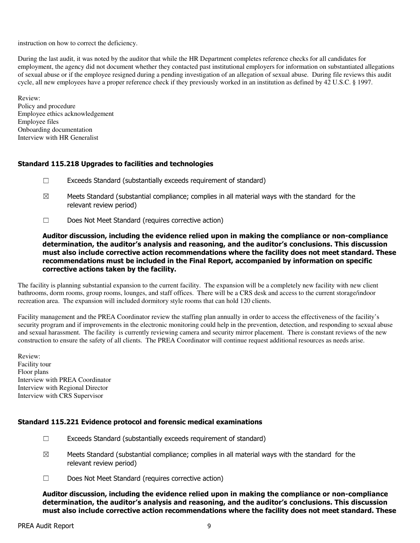instruction on how to correct the deficiency.

During the last audit, it was noted by the auditor that while the HR Department completes reference checks for all candidates for employment, the agency did not document whether they contacted past institutional employers for information on substantiated allegations of sexual abuse or if the employee resigned during a pending investigation of an allegation of sexual abuse. During file reviews this audit cycle, all new employees have a proper reference check if they previously worked in an institution as defined by 42 U.S.C. § 1997.

Review: Policy and procedure Employee ethics acknowledgement Employee files Onboarding documentation Interview with HR Generalist

# Standard 115.218 Upgrades to facilities and technologies

- ☐ Exceeds Standard (substantially exceeds requirement of standard)
- $\boxtimes$  Meets Standard (substantial compliance; complies in all material ways with the standard for the relevant review period)
- ☐ Does Not Meet Standard (requires corrective action)

Auditor discussion, including the evidence relied upon in making the compliance or non-compliance determination, the auditor's analysis and reasoning, and the auditor's conclusions. This discussion must also include corrective action recommendations where the facility does not meet standard. These recommendations must be included in the Final Report, accompanied by information on specific corrective actions taken by the facility.

The facility is planning substantial expansion to the current facility. The expansion will be a completely new facility with new client bathrooms, dorm rooms, group rooms, lounges, and staff offices. There will be a CRS desk and access to the current storage/indoor recreation area. The expansion will included dormitory style rooms that can hold 120 clients.

Facility management and the PREA Coordinator review the staffing plan annually in order to access the effectiveness of the facility's security program and if improvements in the electronic monitoring could help in the prevention, detection, and responding to sexual abuse and sexual harassment. The facility is currently reviewing camera and security mirror placement. There is constant reviews of the new construction to ensure the safety of all clients. The PREA Coordinator will continue request additional resources as needs arise.

Review: Facility tour Floor plans Interview with PREA Coordinator Interview with Regional Director Interview with CRS Supervisor

### Standard 115.221 Evidence protocol and forensic medical examinations

- $\Box$  Exceeds Standard (substantially exceeds requirement of standard)
- $\boxtimes$  Meets Standard (substantial compliance; complies in all material ways with the standard for the relevant review period)
- ☐ Does Not Meet Standard (requires corrective action)

Auditor discussion, including the evidence relied upon in making the compliance or non-compliance determination, the auditor's analysis and reasoning, and the auditor's conclusions. This discussion must also include corrective action recommendations where the facility does not meet standard. These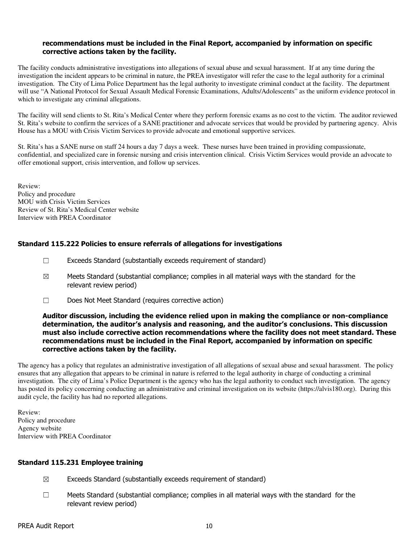#### recommendations must be included in the Final Report, accompanied by information on specific corrective actions taken by the facility.

The facility conducts administrative investigations into allegations of sexual abuse and sexual harassment. If at any time during the investigation the incident appears to be criminal in nature, the PREA investigator will refer the case to the legal authority for a criminal investigation. The City of Lima Police Department has the legal authority to investigate criminal conduct at the facility. The department will use "A National Protocol for Sexual Assault Medical Forensic Examinations, Adults/Adolescents" as the uniform evidence protocol in which to investigate any criminal allegations.

The facility will send clients to St. Rita's Medical Center where they perform forensic exams as no cost to the victim. The auditor reviewed St. Rita's website to confirm the services of a SANE practitioner and advocate services that would be provided by partnering agency. Alvis House has a MOU with Crisis Victim Services to provide advocate and emotional supportive services.

St. Rita's has a SANE nurse on staff 24 hours a day 7 days a week. These nurses have been trained in providing compassionate, confidential, and specialized care in forensic nursing and crisis intervention clinical. Crisis Victim Services would provide an advocate to offer emotional support, crisis intervention, and follow up services.

Review: Policy and procedure MOU with Crisis Victim Services Review of St. Rita's Medical Center website Interview with PREA Coordinator

# Standard 115.222 Policies to ensure referrals of allegations for investigations

- ☐ Exceeds Standard (substantially exceeds requirement of standard)
- $\boxtimes$  Meets Standard (substantial compliance; complies in all material ways with the standard for the relevant review period)
- ☐ Does Not Meet Standard (requires corrective action)

#### Auditor discussion, including the evidence relied upon in making the compliance or non-compliance determination, the auditor's analysis and reasoning, and the auditor's conclusions. This discussion must also include corrective action recommendations where the facility does not meet standard. These recommendations must be included in the Final Report, accompanied by information on specific corrective actions taken by the facility.

The agency has a policy that regulates an administrative investigation of all allegations of sexual abuse and sexual harassment. The policy ensures that any allegation that appears to be criminal in nature is referred to the legal authority in charge of conducting a criminal investigation. The city of Lima's Police Department is the agency who has the legal authority to conduct such investigation. The agency has posted its policy concerning conducting an administrative and criminal investigation on its website (https://alvis180.org). During this audit cycle, the facility has had no reported allegations.

Review: Policy and procedure Agency website Interview with PREA Coordinator

### Standard 115.231 Employee training

- $\boxtimes$  Exceeds Standard (substantially exceeds requirement of standard)
- ☐ Meets Standard (substantial compliance; complies in all material ways with the standard for the relevant review period)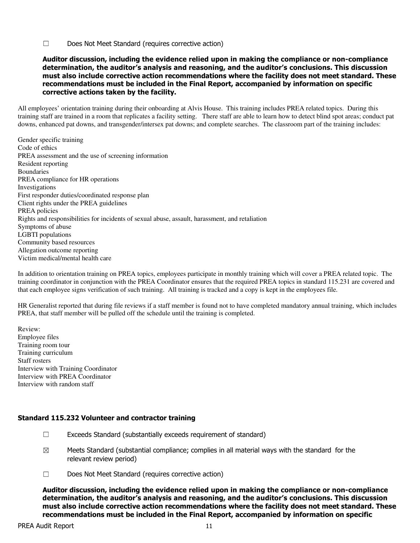☐ Does Not Meet Standard (requires corrective action)

#### Auditor discussion, including the evidence relied upon in making the compliance or non-compliance determination, the auditor's analysis and reasoning, and the auditor's conclusions. This discussion must also include corrective action recommendations where the facility does not meet standard. These recommendations must be included in the Final Report, accompanied by information on specific corrective actions taken by the facility.

All employees' orientation training during their onboarding at Alvis House. This training includes PREA related topics. During this training staff are trained in a room that replicates a facility setting. There staff are able to learn how to detect blind spot areas; conduct pat downs, enhanced pat downs, and transgender/intersex pat downs; and complete searches. The classroom part of the training includes:

Gender specific training Code of ethics PREA assessment and the use of screening information Resident reporting Boundaries PREA compliance for HR operations Investigations First responder duties/coordinated response plan Client rights under the PREA guidelines PREA policies Rights and responsibilities for incidents of sexual abuse, assault, harassment, and retaliation Symptoms of abuse LGBTI populations Community based resources Allegation outcome reporting Victim medical/mental health care

In addition to orientation training on PREA topics, employees participate in monthly training which will cover a PREA related topic. The training coordinator in conjunction with the PREA Coordinator ensures that the required PREA topics in standard 115.231 are covered and that each employee signs verification of such training. All training is tracked and a copy is kept in the employees file.

HR Generalist reported that during file reviews if a staff member is found not to have completed mandatory annual training, which includes PREA, that staff member will be pulled off the schedule until the training is completed.

Review: Employee files Training room tour Training curriculum Staff rosters Interview with Training Coordinator Interview with PREA Coordinator Interview with random staff

### Standard 115.232 Volunteer and contractor training

- $\Box$  Exceeds Standard (substantially exceeds requirement of standard)
- $\boxtimes$  Meets Standard (substantial compliance; complies in all material ways with the standard for the relevant review period)
- ☐ Does Not Meet Standard (requires corrective action)

Auditor discussion, including the evidence relied upon in making the compliance or non-compliance determination, the auditor's analysis and reasoning, and the auditor's conclusions. This discussion must also include corrective action recommendations where the facility does not meet standard. These recommendations must be included in the Final Report, accompanied by information on specific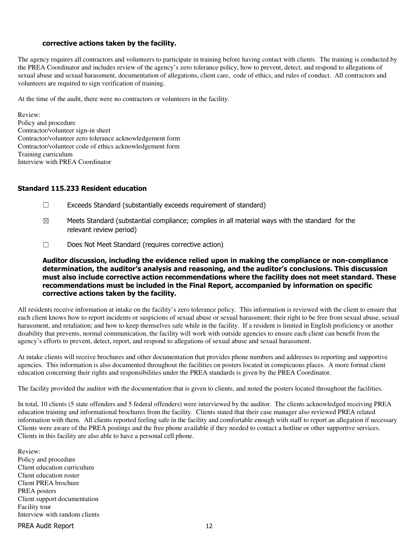#### corrective actions taken by the facility.

The agency requires all contractors and volunteers to participate in training before having contact with clients. The training is conducted by the PREA Coordinator and includes review of the agency's zero tolerance policy, how to prevent, detect, and respond to allegations of sexual abuse and sexual harassment, documentation of allegations, client care, code of ethics, and rules of conduct. All contractors and volunteers are required to sign verification of training.

At the time of the audit, there were no contractors or volunteers in the facility.

Review: Policy and procedure Contractor/volunteer sign-in sheet Contractor/volunteer zero tolerance acknowledgement form Contractor/volunteer code of ethics acknowledgement form Training curriculum Interview with PREA Coordinator

#### Standard 115.233 Resident education

- ☐ Exceeds Standard (substantially exceeds requirement of standard)
- $\boxtimes$  Meets Standard (substantial compliance; complies in all material ways with the standard for the relevant review period)
- ☐ Does Not Meet Standard (requires corrective action)

Auditor discussion, including the evidence relied upon in making the compliance or non-compliance determination, the auditor's analysis and reasoning, and the auditor's conclusions. This discussion must also include corrective action recommendations where the facility does not meet standard. These recommendations must be included in the Final Report, accompanied by information on specific corrective actions taken by the facility.

All residents receive information at intake on the facility's zero tolerance policy. This information is reviewed with the client to ensure that each client knows how to report incidents or suspicions of sexual abuse or sexual harassment; their right to be free from sexual abuse, sexual harassment, and retaliation; and how to keep themselves safe while in the facility. If a resident is limited in English proficiency or another disability that prevents, normal communication, the facility will work with outside agencies to ensure each client can benefit from the agency's efforts to prevent, detect, report, and respond to allegations of sexual abuse and sexual harassment.

At intake clients will receive brochures and other documentation that provides phone numbers and addresses to reporting and supportive agencies. This information is also documented throughout the facilities on posters located in conspicuous places. A more formal client education concerning their rights and responsibilities under the PREA standards is given by the PREA Coordinator.

The facility provided the auditor with the documentation that is given to clients, and noted the posters located throughout the facilities.

In total, 10 clients (5 state offenders and 5 federal offenders) were interviewed by the auditor. The clients acknowledged receiving PREA education training and informational brochures from the facility. Clients stated that their case manager also reviewed PREA related information with them. All clients reported feeling safe in the facility and comfortable enough with staff to report an allegation if necessary Clients were aware of the PREA postings and the free phone available if they needed to contact a hotline or other supportive services. Clients in this facility are also able to have a personal cell phone.

Review: Policy and procedure Client education curriculum Client education roster Client PREA brochure PREA posters Client support documentation Facility tour Interview with random clients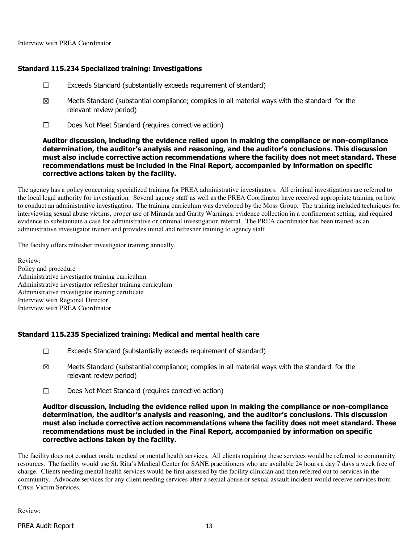# Standard 115.234 Specialized training: Investigations

- ☐ Exceeds Standard (substantially exceeds requirement of standard)
- $\boxtimes$  Meets Standard (substantial compliance; complies in all material ways with the standard for the relevant review period)
- ☐ Does Not Meet Standard (requires corrective action)

#### Auditor discussion, including the evidence relied upon in making the compliance or non-compliance determination, the auditor's analysis and reasoning, and the auditor's conclusions. This discussion must also include corrective action recommendations where the facility does not meet standard. These recommendations must be included in the Final Report, accompanied by information on specific corrective actions taken by the facility.

The agency has a policy concerning specialized training for PREA administrative investigators. All criminal investigations are referred to the local legal authority for investigation. Several agency staff as well as the PREA Coordinator have received appropriate training on how to conduct an administrative investigation. The training curriculum was developed by the Moss Group. The training included techniques for interviewing sexual abuse victims, proper use of Miranda and Garity Warnings, evidence collection in a confinement setting, and required evidence to substantiate a case for administrative or criminal investigation referral. The PREA coordinator has been trained as an administrative investigator trainer and provides initial and refresher training to agency staff.

The facility offers refresher investigator training annually.

Review: Policy and procedure Administrative investigator training curriculum Administrative investigator refresher training curriculum Administrative investigator training certificate Interview with Regional Director Interview with PREA Coordinator

### Standard 115.235 Specialized training: Medical and mental health care

- $\Box$  Exceeds Standard (substantially exceeds requirement of standard)
- $\boxtimes$  Meets Standard (substantial compliance; complies in all material ways with the standard for the relevant review period)
- ☐ Does Not Meet Standard (requires corrective action)

#### Auditor discussion, including the evidence relied upon in making the compliance or non-compliance determination, the auditor's analysis and reasoning, and the auditor's conclusions. This discussion must also include corrective action recommendations where the facility does not meet standard. These recommendations must be included in the Final Report, accompanied by information on specific corrective actions taken by the facility.

The facility does not conduct onsite medical or mental health services. All clients requiring these services would be referred to community resources. The facility would use St. Rita's Medical Center for SANE practitioners who are available 24 hours a day 7 days a week free of charge. Clients needing mental health services would be first assessed by the facility clinician and then referred out to services in the community. Advocate services for any client needing services after a sexual abuse or sexual assault incident would receive services from Crisis Victim Services.

Review: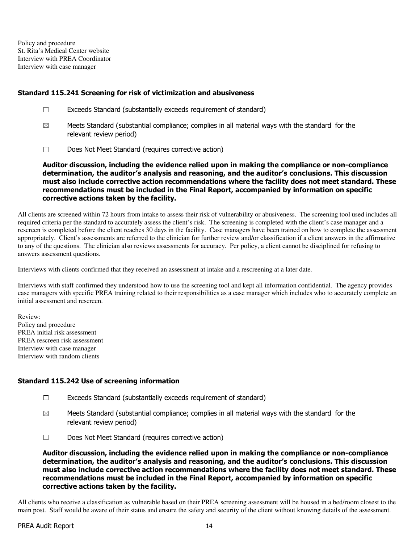Policy and procedure St. Rita's Medical Center website Interview with PREA Coordinator Interview with case manager

#### Standard 115.241 Screening for risk of victimization and abusiveness

- ☐ Exceeds Standard (substantially exceeds requirement of standard)
- $\boxtimes$  Meets Standard (substantial compliance; complies in all material ways with the standard for the relevant review period)
- ☐ Does Not Meet Standard (requires corrective action)

Auditor discussion, including the evidence relied upon in making the compliance or non-compliance determination, the auditor's analysis and reasoning, and the auditor's conclusions. This discussion must also include corrective action recommendations where the facility does not meet standard. These recommendations must be included in the Final Report, accompanied by information on specific corrective actions taken by the facility.

All clients are screened within 72 hours from intake to assess their risk of vulnerability or abusiveness. The screening tool used includes all required criteria per the standard to accurately assess the client's risk. The screening is completed with the client's case manager and a rescreen is completed before the client reaches 30 days in the facility. Case managers have been trained on how to complete the assessment appropriately. Client's assessments are referred to the clinician for further review and/or classification if a client answers in the affirmative to any of the questions. The clinician also reviews assessments for accuracy. Per policy, a client cannot be disciplined for refusing to answers assessment questions.

Interviews with clients confirmed that they received an assessment at intake and a rescreening at a later date.

Interviews with staff confirmed they understood how to use the screening tool and kept all information confidential. The agency provides case managers with specific PREA training related to their responsibilities as a case manager which includes who to accurately complete an initial assessment and rescreen.

Review: Policy and procedure PREA initial risk assessment PREA rescreen risk assessment Interview with case manager Interview with random clients

### Standard 115.242 Use of screening information

- $\Box$  Exceeds Standard (substantially exceeds requirement of standard)
- $\boxtimes$  Meets Standard (substantial compliance; complies in all material ways with the standard for the relevant review period)
- ☐ Does Not Meet Standard (requires corrective action)

Auditor discussion, including the evidence relied upon in making the compliance or non-compliance determination, the auditor's analysis and reasoning, and the auditor's conclusions. This discussion must also include corrective action recommendations where the facility does not meet standard. These recommendations must be included in the Final Report, accompanied by information on specific corrective actions taken by the facility.

All clients who receive a classification as vulnerable based on their PREA screening assessment will be housed in a bed/room closest to the main post. Staff would be aware of their status and ensure the safety and security of the client without knowing details of the assessment.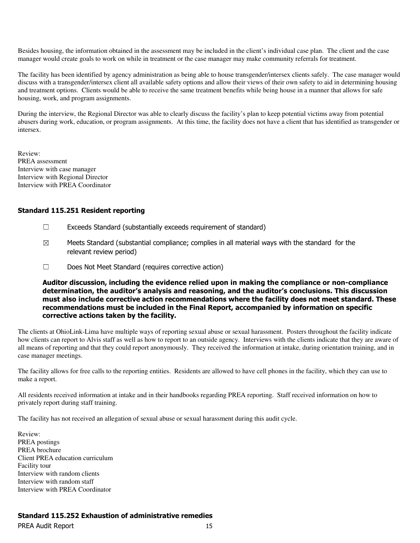Besides housing, the information obtained in the assessment may be included in the client's individual case plan. The client and the case manager would create goals to work on while in treatment or the case manager may make community referrals for treatment.

The facility has been identified by agency administration as being able to house transgender/intersex clients safely. The case manager would discuss with a transgender/intersex client all available safety options and allow their views of their own safety to aid in determining housing and treatment options. Clients would be able to receive the same treatment benefits while being house in a manner that allows for safe housing, work, and program assignments.

During the interview, the Regional Director was able to clearly discuss the facility's plan to keep potential victims away from potential abusers during work, education, or program assignments. At this time, the facility does not have a client that has identified as transgender or intersex.

Review: PREA assessment Interview with case manager Interview with Regional Director Interview with PREA Coordinator

#### Standard 115.251 Resident reporting

- ☐ Exceeds Standard (substantially exceeds requirement of standard)
- $\boxtimes$  Meets Standard (substantial compliance; complies in all material ways with the standard for the relevant review period)
- ☐ Does Not Meet Standard (requires corrective action)

Auditor discussion, including the evidence relied upon in making the compliance or non-compliance determination, the auditor's analysis and reasoning, and the auditor's conclusions. This discussion must also include corrective action recommendations where the facility does not meet standard. These recommendations must be included in the Final Report, accompanied by information on specific corrective actions taken by the facility.

The clients at OhioLink-Lima have multiple ways of reporting sexual abuse or sexual harassment. Posters throughout the facility indicate how clients can report to Alvis staff as well as how to report to an outside agency. Interviews with the clients indicate that they are aware of all means of reporting and that they could report anonymously. They received the information at intake, during orientation training, and in case manager meetings.

The facility allows for free calls to the reporting entities. Residents are allowed to have cell phones in the facility, which they can use to make a report.

All residents received information at intake and in their handbooks regarding PREA reporting. Staff received information on how to privately report during staff training.

The facility has not received an allegation of sexual abuse or sexual harassment during this audit cycle.

Review: PREA postings PREA brochure Client PREA education curriculum Facility tour Interview with random clients Interview with random staff Interview with PREA Coordinator

### Standard 115.252 Exhaustion of administrative remedies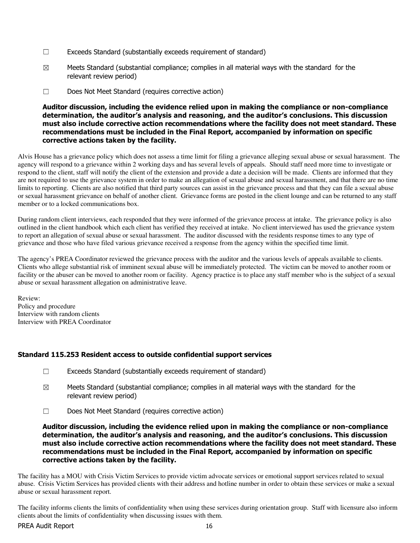- $\Box$  Exceeds Standard (substantially exceeds requirement of standard)
- $\boxtimes$  Meets Standard (substantial compliance; complies in all material ways with the standard for the relevant review period)
- ☐ Does Not Meet Standard (requires corrective action)

#### Auditor discussion, including the evidence relied upon in making the compliance or non-compliance determination, the auditor's analysis and reasoning, and the auditor's conclusions. This discussion must also include corrective action recommendations where the facility does not meet standard. These recommendations must be included in the Final Report, accompanied by information on specific corrective actions taken by the facility.

Alvis House has a grievance policy which does not assess a time limit for filing a grievance alleging sexual abuse or sexual harassment. The agency will respond to a grievance within 2 working days and has several levels of appeals. Should staff need more time to investigate or respond to the client, staff will notify the client of the extension and provide a date a decision will be made. Clients are informed that they are not required to use the grievance system in order to make an allegation of sexual abuse and sexual harassment, and that there are no time limits to reporting. Clients are also notified that third party sources can assist in the grievance process and that they can file a sexual abuse or sexual harassment grievance on behalf of another client. Grievance forms are posted in the client lounge and can be returned to any staff member or to a locked communications box.

During random client interviews, each responded that they were informed of the grievance process at intake. The grievance policy is also outlined in the client handbook which each client has verified they received at intake. No client interviewed has used the grievance system to report an allegation of sexual abuse or sexual harassment. The auditor discussed with the residents response times to any type of grievance and those who have filed various grievance received a response from the agency within the specified time limit.

The agency's PREA Coordinator reviewed the grievance process with the auditor and the various levels of appeals available to clients. Clients who allege substantial risk of imminent sexual abuse will be immediately protected. The victim can be moved to another room or facility or the abuser can be moved to another room or facility. Agency practice is to place any staff member who is the subject of a sexual abuse or sexual harassment allegation on administrative leave.

Review: Policy and procedure Interview with random clients Interview with PREA Coordinator

### Standard 115.253 Resident access to outside confidential support services

- $\Box$  Exceeds Standard (substantially exceeds requirement of standard)
- $\boxtimes$  Meets Standard (substantial compliance; complies in all material ways with the standard for the relevant review period)
- ☐ Does Not Meet Standard (requires corrective action)

Auditor discussion, including the evidence relied upon in making the compliance or non-compliance determination, the auditor's analysis and reasoning, and the auditor's conclusions. This discussion must also include corrective action recommendations where the facility does not meet standard. These recommendations must be included in the Final Report, accompanied by information on specific corrective actions taken by the facility.

The facility has a MOU with Crisis Victim Services to provide victim advocate services or emotional support services related to sexual abuse. Crisis Victim Services has provided clients with their address and hotline number in order to obtain these services or make a sexual abuse or sexual harassment report.

The facility informs clients the limits of confidentiality when using these services during orientation group. Staff with licensure also inform clients about the limits of confidentiality when discussing issues with them.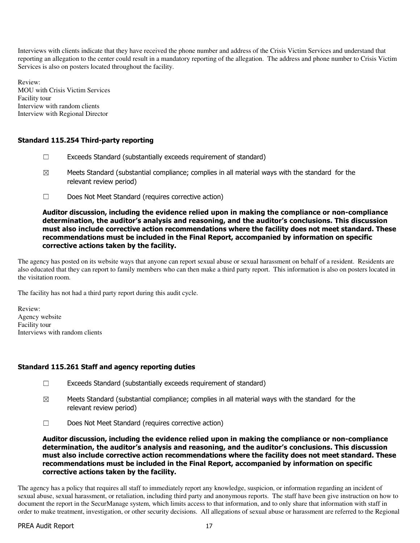Interviews with clients indicate that they have received the phone number and address of the Crisis Victim Services and understand that reporting an allegation to the center could result in a mandatory reporting of the allegation. The address and phone number to Crisis Victim Services is also on posters located throughout the facility.

Review: MOU with Crisis Victim Services Facility tour Interview with random clients Interview with Regional Director

# Standard 115.254 Third-party reporting

- $\Box$  Exceeds Standard (substantially exceeds requirement of standard)
- $\boxtimes$  Meets Standard (substantial compliance; complies in all material ways with the standard for the relevant review period)
- ☐ Does Not Meet Standard (requires corrective action)

#### Auditor discussion, including the evidence relied upon in making the compliance or non-compliance determination, the auditor's analysis and reasoning, and the auditor's conclusions. This discussion must also include corrective action recommendations where the facility does not meet standard. These recommendations must be included in the Final Report, accompanied by information on specific corrective actions taken by the facility.

The agency has posted on its website ways that anyone can report sexual abuse or sexual harassment on behalf of a resident. Residents are also educated that they can report to family members who can then make a third party report. This information is also on posters located in the visitation room.

The facility has not had a third party report during this audit cycle.

Review: Agency website Facility tour Interviews with random clients

### Standard 115.261 Staff and agency reporting duties

- ☐ Exceeds Standard (substantially exceeds requirement of standard)
- $\boxtimes$  Meets Standard (substantial compliance; complies in all material ways with the standard for the relevant review period)
- ☐ Does Not Meet Standard (requires corrective action)

Auditor discussion, including the evidence relied upon in making the compliance or non-compliance determination, the auditor's analysis and reasoning, and the auditor's conclusions. This discussion must also include corrective action recommendations where the facility does not meet standard. These recommendations must be included in the Final Report, accompanied by information on specific corrective actions taken by the facility.

The agency has a policy that requires all staff to immediately report any knowledge, suspicion, or information regarding an incident of sexual abuse, sexual harassment, or retaliation, including third party and anonymous reports. The staff have been give instruction on how to document the report in the SecurManage system, which limits access to that information, and to only share that information with staff in order to make treatment, investigation, or other security decisions. All allegations of sexual abuse or harassment are referred to the Regional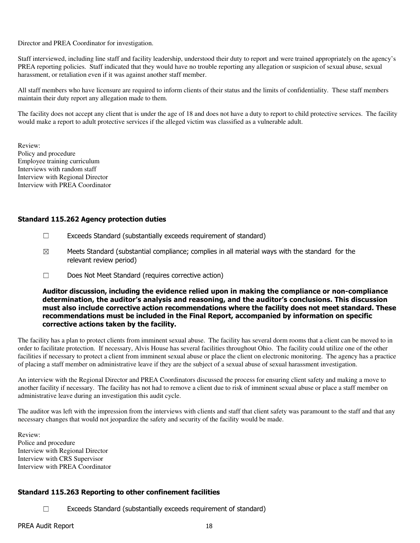Director and PREA Coordinator for investigation.

Staff interviewed, including line staff and facility leadership, understood their duty to report and were trained appropriately on the agency's PREA reporting policies. Staff indicated that they would have no trouble reporting any allegation or suspicion of sexual abuse, sexual harassment, or retaliation even if it was against another staff member.

All staff members who have licensure are required to inform clients of their status and the limits of confidentiality. These staff members maintain their duty report any allegation made to them.

The facility does not accept any client that is under the age of 18 and does not have a duty to report to child protective services. The facility would make a report to adult protective services if the alleged victim was classified as a vulnerable adult.

Review: Policy and procedure Employee training curriculum Interviews with random staff Interview with Regional Director Interview with PREA Coordinator

#### Standard 115.262 Agency protection duties

- ☐ Exceeds Standard (substantially exceeds requirement of standard)
- $\boxtimes$  Meets Standard (substantial compliance; complies in all material ways with the standard for the relevant review period)
- ☐ Does Not Meet Standard (requires corrective action)

Auditor discussion, including the evidence relied upon in making the compliance or non-compliance determination, the auditor's analysis and reasoning, and the auditor's conclusions. This discussion must also include corrective action recommendations where the facility does not meet standard. These recommendations must be included in the Final Report, accompanied by information on specific corrective actions taken by the facility.

The facility has a plan to protect clients from imminent sexual abuse. The facility has several dorm rooms that a client can be moved to in order to facilitate protection. If necessary, Alvis House has several facilities throughout Ohio. The facility could utilize one of the other facilities if necessary to protect a client from imminent sexual abuse or place the client on electronic monitoring. The agency has a practice of placing a staff member on administrative leave if they are the subject of a sexual abuse of sexual harassment investigation.

An interview with the Regional Director and PREA Coordinators discussed the process for ensuring client safety and making a move to another facility if necessary. The facility has not had to remove a client due to risk of imminent sexual abuse or place a staff member on administrative leave during an investigation this audit cycle.

The auditor was left with the impression from the interviews with clients and staff that client safety was paramount to the staff and that any necessary changes that would not jeopardize the safety and security of the facility would be made.

Review: Police and procedure Interview with Regional Director Interview with CRS Supervisor Interview with PREA Coordinator

### Standard 115.263 Reporting to other confinement facilities

☐ Exceeds Standard (substantially exceeds requirement of standard)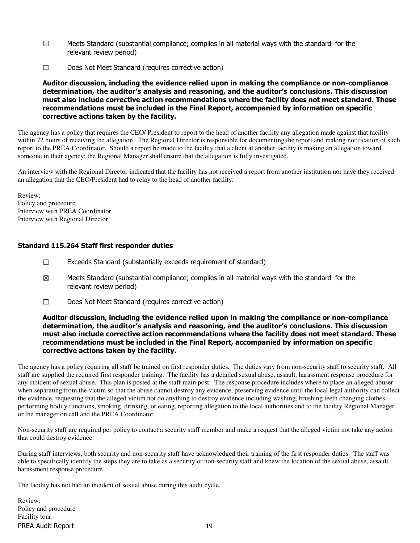- $\boxtimes$  Meets Standard (substantial compliance; complies in all material ways with the standard for the relevant review period)
- ☐ Does Not Meet Standard (requires corrective action)

Auditor discussion, including the evidence relied upon in making the compliance or non-compliance determination, the auditor's analysis and reasoning, and the auditor's conclusions. This discussion must also include corrective action recommendations where the facility does not meet standard. These recommendations must be included in the Final Report, accompanied by information on specific corrective actions taken by the facility.

The agency has a policy that requires the CEO/ President to report to the head of another facility any allegation made against that facility within 72 hours of receiving the allegation. The Regional Director is responsible for documenting the report and making notification of such report to the PREA Coordinator. Should a report be made to the facility that a client at another facility is making an allegation toward someone in their agency; the Regional Manager shall ensure that the allegation is fully investigated.

An interview with the Regional Director indicated that the facility has not received a report from another institution nor have they received an allegation that the CEO/President had to relay to the head of another facility.

Review: Policy and procedure Interview with PREA Coordinator Interview with Regional Director

### Standard 115.264 Staff first responder duties

- ☐ Exceeds Standard (substantially exceeds requirement of standard)
- $\boxtimes$  Meets Standard (substantial compliance; complies in all material ways with the standard for the relevant review period)
- ☐ Does Not Meet Standard (requires corrective action)

#### Auditor discussion, including the evidence relied upon in making the compliance or non-compliance determination, the auditor's analysis and reasoning, and the auditor's conclusions. This discussion must also include corrective action recommendations where the facility does not meet standard. These recommendations must be included in the Final Report, accompanied by information on specific corrective actions taken by the facility.

The agency has a policy requiring all staff be trained on first responder duties. The duties vary from non-security staff to security staff. All staff are supplied the required first responder training. The facility has a detailed sexual abuse, assault, harassment response procedure for any incident of sexual abuse. This plan is posted at the staff main post. The response procedure includes where to place an alleged abuser when separating from the victim so that the abuse cannot destroy any evidence, preserving evidence until the local legal authority can collect the evidence, requesting that the alleged victim not do anything to destroy evidence including washing, brushing teeth changing clothes, performing bodily functions, smoking, drinking, or eating, reporting allegation to the local authorities and to the facility Regional Manager or the manager on call and the PREA Coordinator.

Non-security staff are required per policy to contact a security staff member and make a request that the alleged victim not take any action that could destroy evidence.

During staff interviews, both security and non-security staff have acknowledged their training of the first responder duties. The staff was able to specifically identify the steps they are to take as a security or non-security staff and knew the location of the sexual abuse, assault harassment response procedure.

The facility has not had an incident of sexual abuse during this audit cycle.

PREA Audit Report 19 Review: Policy and procedure Facility tour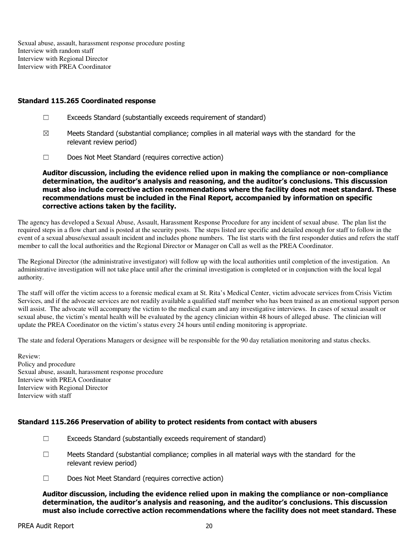Sexual abuse, assault, harassment response procedure posting Interview with random staff Interview with Regional Director Interview with PREA Coordinator

#### Standard 115.265 Coordinated response

- ☐ Exceeds Standard (substantially exceeds requirement of standard)
- $\boxtimes$  Meets Standard (substantial compliance; complies in all material ways with the standard for the relevant review period)
- ☐ Does Not Meet Standard (requires corrective action)

Auditor discussion, including the evidence relied upon in making the compliance or non-compliance determination, the auditor's analysis and reasoning, and the auditor's conclusions. This discussion must also include corrective action recommendations where the facility does not meet standard. These recommendations must be included in the Final Report, accompanied by information on specific corrective actions taken by the facility.

The agency has developed a Sexual Abuse, Assault, Harassment Response Procedure for any incident of sexual abuse. The plan list the required steps in a flow chart and is posted at the security posts. The steps listed are specific and detailed enough for staff to follow in the event of a sexual abuse/sexual assault incident and includes phone numbers. The list starts with the first responder duties and refers the staff member to call the local authorities and the Regional Director or Manager on Call as well as the PREA Coordinator.

The Regional Director (the administrative investigator) will follow up with the local authorities until completion of the investigation. An administrative investigation will not take place until after the criminal investigation is completed or in conjunction with the local legal authority.

The staff will offer the victim access to a forensic medical exam at St. Rita's Medical Center, victim advocate services from Crisis Victim Services, and if the advocate services are not readily available a qualified staff member who has been trained as an emotional support person will assist. The advocate will accompany the victim to the medical exam and any investigative interviews. In cases of sexual assault or sexual abuse, the victim's mental health will be evaluated by the agency clinician within 48 hours of alleged abuse. The clinician will update the PREA Coordinator on the victim's status every 24 hours until ending monitoring is appropriate.

The state and federal Operations Managers or designee will be responsible for the 90 day retaliation monitoring and status checks.

Review: Policy and procedure Sexual abuse, assault, harassment response procedure Interview with PREA Coordinator Interview with Regional Director Interview with staff

### Standard 115.266 Preservation of ability to protect residents from contact with abusers

- $\Box$  Exceeds Standard (substantially exceeds requirement of standard)
- $\square$  Meets Standard (substantial compliance; complies in all material ways with the standard for the relevant review period)
- ☐ Does Not Meet Standard (requires corrective action)

Auditor discussion, including the evidence relied upon in making the compliance or non-compliance determination, the auditor's analysis and reasoning, and the auditor's conclusions. This discussion must also include corrective action recommendations where the facility does not meet standard. These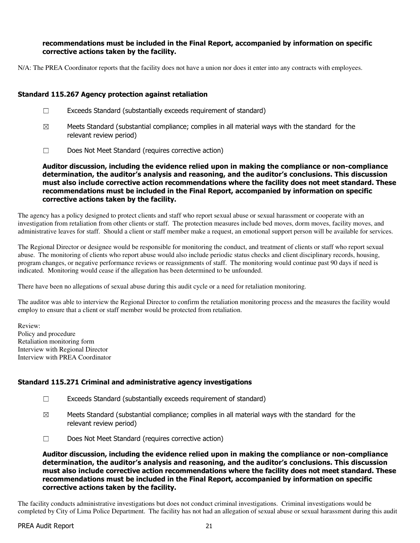#### recommendations must be included in the Final Report, accompanied by information on specific corrective actions taken by the facility.

N/A: The PREA Coordinator reports that the facility does not have a union nor does it enter into any contracts with employees.

#### Standard 115.267 Agency protection against retaliation

- ☐ Exceeds Standard (substantially exceeds requirement of standard)
- $\boxtimes$  Meets Standard (substantial compliance; complies in all material ways with the standard for the relevant review period)
- ☐ Does Not Meet Standard (requires corrective action)

Auditor discussion, including the evidence relied upon in making the compliance or non-compliance determination, the auditor's analysis and reasoning, and the auditor's conclusions. This discussion must also include corrective action recommendations where the facility does not meet standard. These recommendations must be included in the Final Report, accompanied by information on specific corrective actions taken by the facility.

The agency has a policy designed to protect clients and staff who report sexual abuse or sexual harassment or cooperate with an investigation from retaliation from other clients or staff. The protection measures include bed moves, dorm moves, facility moves, and administrative leaves for staff. Should a client or staff member make a request, an emotional support person will be available for services.

The Regional Director or designee would be responsible for monitoring the conduct, and treatment of clients or staff who report sexual abuse. The monitoring of clients who report abuse would also include periodic status checks and client disciplinary records, housing, program changes, or negative performance reviews or reassignments of staff. The monitoring would continue past 90 days if need is indicated. Monitoring would cease if the allegation has been determined to be unfounded.

There have been no allegations of sexual abuse during this audit cycle or a need for retaliation monitoring.

The auditor was able to interview the Regional Director to confirm the retaliation monitoring process and the measures the facility would employ to ensure that a client or staff member would be protected from retaliation.

Review: Policy and procedure Retaliation monitoring form Interview with Regional Director Interview with PREA Coordinator

### Standard 115.271 Criminal and administrative agency investigations

- ☐ Exceeds Standard (substantially exceeds requirement of standard)
- $\boxtimes$  Meets Standard (substantial compliance; complies in all material ways with the standard for the relevant review period)
- ☐ Does Not Meet Standard (requires corrective action)

Auditor discussion, including the evidence relied upon in making the compliance or non-compliance determination, the auditor's analysis and reasoning, and the auditor's conclusions. This discussion must also include corrective action recommendations where the facility does not meet standard. These recommendations must be included in the Final Report, accompanied by information on specific corrective actions taken by the facility.

The facility conducts administrative investigations but does not conduct criminal investigations. Criminal investigations would be completed by City of Lima Police Department. The facility has not had an allegation of sexual abuse or sexual harassment during this audit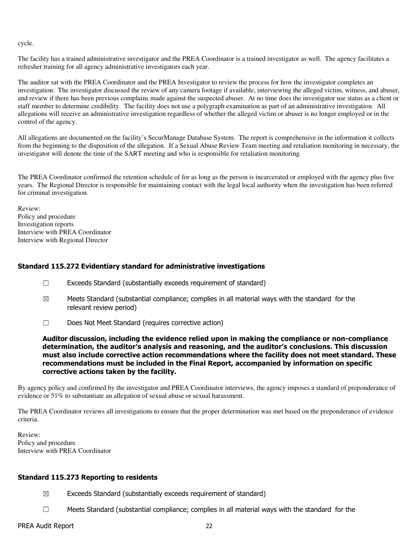cycle.

The facility has a trained administrative investigator and the PREA Coordinator is a trained investigator as well. The agency facilitates a refresher training for all agency administrative investigators each year.

The auditor sat with the PREA Coordinator and the PREA Investigator to review the process for how the investigator completes an investigation. The investigator discussed the review of any camera footage if available, interviewing the alleged victim, witness, and abuser, and review if there has been previous complains made against the suspected abuser. At no time does the investigator use status as a client or staff member to determine credibility. The facility does not use a polygraph examination as part of an administrative investigation. All allegations will receive an administrative investigation regardless of whether the alleged victim or abuser is no longer employed or in the control of the agency.

All allegations are documented on the facility's SecurManage Database System. The report is comprehensive in the information it collects from the beginning to the disposition of the allegation. If a Sexual Abuse Review Team meeting and retaliation monitoring in necessary, the investigator will denote the time of the SART meeting and who is responsible for retaliation monitoring.

The PREA Coordinator confirmed the retention schedule of for as long as the person is incarcerated or employed with the agency plus five years. The Regional Director is responsible for maintaining contact with the legal local authority when the investigation has been referred for criminal investigation.

Review: Policy and procedure Investigation reports Interview with PREA Coordinator Interview with Regional Director

### Standard 115.272 Evidentiary standard for administrative investigations

- ☐ Exceeds Standard (substantially exceeds requirement of standard)
- $\boxtimes$  Meets Standard (substantial compliance; complies in all material ways with the standard for the relevant review period)
- ☐ Does Not Meet Standard (requires corrective action)

Auditor discussion, including the evidence relied upon in making the compliance or non-compliance determination, the auditor's analysis and reasoning, and the auditor's conclusions. This discussion must also include corrective action recommendations where the facility does not meet standard. These recommendations must be included in the Final Report, accompanied by information on specific corrective actions taken by the facility.

By agency policy and confirmed by the investigator and PREA Coordinator interviews, the agency imposes a standard of preponderance of evidence or 51% to substantiate an allegation of sexual abuse or sexual harassment.

The PREA Coordinator reviews all investigations to ensure that the proper determination was met based on the preponderance of evidence criteria.

Review: Policy and procedure Interview with PREA Coordinator

### Standard 115.273 Reporting to residents

- $\boxtimes$  Exceeds Standard (substantially exceeds requirement of standard)
- $\Box$  Meets Standard (substantial compliance; complies in all material ways with the standard for the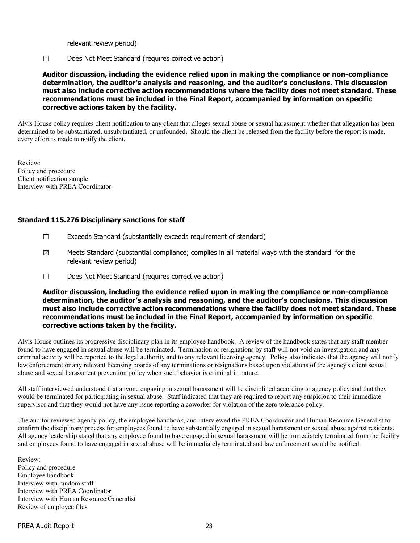relevant review period)

☐ Does Not Meet Standard (requires corrective action)

Auditor discussion, including the evidence relied upon in making the compliance or non-compliance determination, the auditor's analysis and reasoning, and the auditor's conclusions. This discussion must also include corrective action recommendations where the facility does not meet standard. These recommendations must be included in the Final Report, accompanied by information on specific corrective actions taken by the facility.

Alvis House policy requires client notification to any client that alleges sexual abuse or sexual harassment whether that allegation has been determined to be substantiated, unsubstantiated, or unfounded. Should the client be released from the facility before the report is made, every effort is made to notify the client.

Review: Policy and procedure Client notification sample Interview with PREA Coordinator

### Standard 115.276 Disciplinary sanctions for staff

- $\Box$  Exceeds Standard (substantially exceeds requirement of standard)
- $\boxtimes$  Meets Standard (substantial compliance; complies in all material ways with the standard for the relevant review period)
- ☐ Does Not Meet Standard (requires corrective action)

Auditor discussion, including the evidence relied upon in making the compliance or non-compliance determination, the auditor's analysis and reasoning, and the auditor's conclusions. This discussion must also include corrective action recommendations where the facility does not meet standard. These recommendations must be included in the Final Report, accompanied by information on specific corrective actions taken by the facility.

Alvis House outlines its progressive disciplinary plan in its employee handbook. A review of the handbook states that any staff member found to have engaged in sexual abuse will be terminated. Termination or resignations by staff will not void an investigation and any criminal activity will be reported to the legal authority and to any relevant licensing agency. Policy also indicates that the agency will notify law enforcement or any relevant licensing boards of any terminations or resignations based upon violations of the agency's client sexual abuse and sexual harassment prevention policy when such behavior is criminal in nature.

All staff interviewed understood that anyone engaging in sexual harassment will be disciplined according to agency policy and that they would be terminated for participating in sexual abuse. Staff indicated that they are required to report any suspicion to their immediate supervisor and that they would not have any issue reporting a coworker for violation of the zero tolerance policy.

The auditor reviewed agency policy, the employee handbook, and interviewed the PREA Coordinator and Human Resource Generalist to confirm the disciplinary process for employees found to have substantially engaged in sexual harassment or sexual abuse against residents. All agency leadership stated that any employee found to have engaged in sexual harassment will be immediately terminated from the facility and employees found to have engaged in sexual abuse will be immediately terminated and law enforcement would be notified.

Review: Policy and procedure Employee handbook Interview with random staff Interview with PREA Coordinator Interview with Human Resource Generalist Review of employee files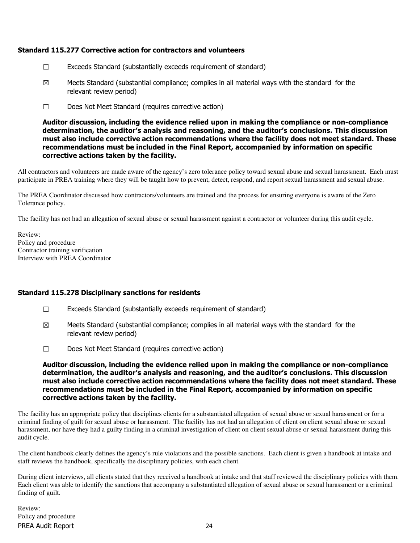### Standard 115.277 Corrective action for contractors and volunteers

- $\Box$  Exceeds Standard (substantially exceeds requirement of standard)
- $\boxtimes$  Meets Standard (substantial compliance; complies in all material ways with the standard for the relevant review period)
- ☐ Does Not Meet Standard (requires corrective action)

Auditor discussion, including the evidence relied upon in making the compliance or non-compliance determination, the auditor's analysis and reasoning, and the auditor's conclusions. This discussion must also include corrective action recommendations where the facility does not meet standard. These recommendations must be included in the Final Report, accompanied by information on specific corrective actions taken by the facility.

All contractors and volunteers are made aware of the agency's zero tolerance policy toward sexual abuse and sexual harassment. Each must participate in PREA training where they will be taught how to prevent, detect, respond, and report sexual harassment and sexual abuse.

The PREA Coordinator discussed how contractors/volunteers are trained and the process for ensuring everyone is aware of the Zero Tolerance policy.

The facility has not had an allegation of sexual abuse or sexual harassment against a contractor or volunteer during this audit cycle.

Review: Policy and procedure Contractor training verification Interview with PREA Coordinator

### Standard 115.278 Disciplinary sanctions for residents

- $\Box$  Exceeds Standard (substantially exceeds requirement of standard)
- $\boxtimes$  Meets Standard (substantial compliance; complies in all material ways with the standard for the relevant review period)
- ☐ Does Not Meet Standard (requires corrective action)

Auditor discussion, including the evidence relied upon in making the compliance or non-compliance determination, the auditor's analysis and reasoning, and the auditor's conclusions. This discussion must also include corrective action recommendations where the facility does not meet standard. These recommendations must be included in the Final Report, accompanied by information on specific corrective actions taken by the facility.

The facility has an appropriate policy that disciplines clients for a substantiated allegation of sexual abuse or sexual harassment or for a criminal finding of guilt for sexual abuse or harassment. The facility has not had an allegation of client on client sexual abuse or sexual harassment, nor have they had a guilty finding in a criminal investigation of client on client sexual abuse or sexual harassment during this audit cycle.

The client handbook clearly defines the agency's rule violations and the possible sanctions. Each client is given a handbook at intake and staff reviews the handbook, specifically the disciplinary policies, with each client.

During client interviews, all clients stated that they received a handbook at intake and that staff reviewed the disciplinary policies with them. Each client was able to identify the sanctions that accompany a substantiated allegation of sexual abuse or sexual harassment or a criminal finding of guilt.

PREA Audit Report 24 Review: Policy and procedure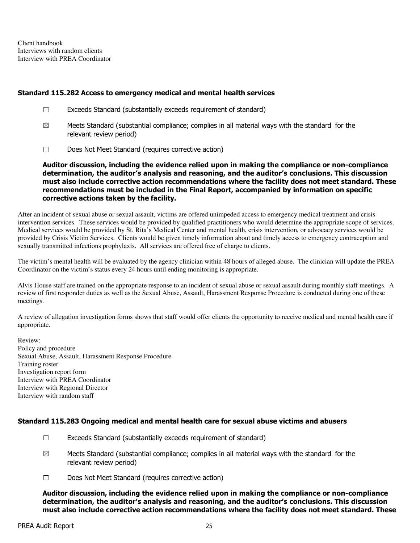Client handbook Interviews with random clients Interview with PREA Coordinator

#### Standard 115.282 Access to emergency medical and mental health services

- ☐ Exceeds Standard (substantially exceeds requirement of standard)
- $\boxtimes$  Meets Standard (substantial compliance; complies in all material ways with the standard for the relevant review period)
- ☐ Does Not Meet Standard (requires corrective action)

Auditor discussion, including the evidence relied upon in making the compliance or non-compliance determination, the auditor's analysis and reasoning, and the auditor's conclusions. This discussion must also include corrective action recommendations where the facility does not meet standard. These recommendations must be included in the Final Report, accompanied by information on specific corrective actions taken by the facility.

After an incident of sexual abuse or sexual assault, victims are offered unimpeded access to emergency medical treatment and crisis intervention services. These services would be provided by qualified practitioners who would determine the appropriate scope of services. Medical services would be provided by St. Rita's Medical Center and mental health, crisis intervention, or advocacy services would be provided by Crisis Victim Services. Clients would be given timely information about and timely access to emergency contraception and sexually transmitted infections prophylaxis. All services are offered free of charge to clients.

The victim's mental health will be evaluated by the agency clinician within 48 hours of alleged abuse. The clinician will update the PREA Coordinator on the victim's status every 24 hours until ending monitoring is appropriate.

Alvis House staff are trained on the appropriate response to an incident of sexual abuse or sexual assault during monthly staff meetings. A review of first responder duties as well as the Sexual Abuse, Assault, Harassment Response Procedure is conducted during one of these meetings.

A review of allegation investigation forms shows that staff would offer clients the opportunity to receive medical and mental health care if appropriate.

Review: Policy and procedure Sexual Abuse, Assault, Harassment Response Procedure Training roster Investigation report form Interview with PREA Coordinator Interview with Regional Director Interview with random staff

### Standard 115.283 Ongoing medical and mental health care for sexual abuse victims and abusers

- ☐ Exceeds Standard (substantially exceeds requirement of standard)
- $\boxtimes$  Meets Standard (substantial compliance; complies in all material ways with the standard for the relevant review period)
- ☐ Does Not Meet Standard (requires corrective action)

Auditor discussion, including the evidence relied upon in making the compliance or non-compliance determination, the auditor's analysis and reasoning, and the auditor's conclusions. This discussion must also include corrective action recommendations where the facility does not meet standard. These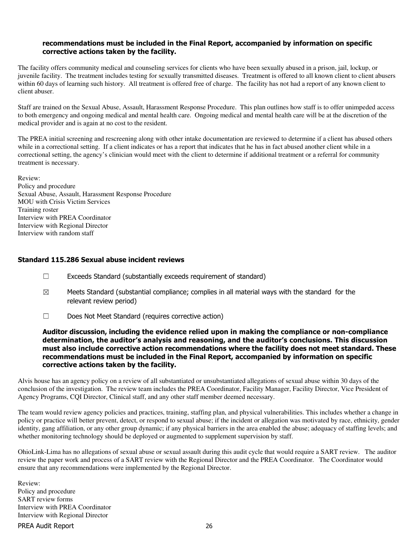#### recommendations must be included in the Final Report, accompanied by information on specific corrective actions taken by the facility.

The facility offers community medical and counseling services for clients who have been sexually abused in a prison, jail, lockup, or juvenile facility. The treatment includes testing for sexually transmitted diseases. Treatment is offered to all known client to client abusers within 60 days of learning such history. All treatment is offered free of charge. The facility has not had a report of any known client to client abuser.

Staff are trained on the Sexual Abuse, Assault, Harassment Response Procedure. This plan outlines how staff is to offer unimpeded access to both emergency and ongoing medical and mental health care. Ongoing medical and mental health care will be at the discretion of the medical provider and is again at no cost to the resident.

The PREA initial screening and rescreening along with other intake documentation are reviewed to determine if a client has abused others while in a correctional setting. If a client indicates or has a report that indicates that he has in fact abused another client while in a correctional setting, the agency's clinician would meet with the client to determine if additional treatment or a referral for community treatment is necessary.

Review: Policy and procedure Sexual Abuse, Assault, Harassment Response Procedure MOU with Crisis Victim Services Training roster Interview with PREA Coordinator Interview with Regional Director Interview with random staff

### Standard 115.286 Sexual abuse incident reviews

- $\Box$  Exceeds Standard (substantially exceeds requirement of standard)
- $\boxtimes$  Meets Standard (substantial compliance; complies in all material ways with the standard for the relevant review period)
- ☐ Does Not Meet Standard (requires corrective action)

Auditor discussion, including the evidence relied upon in making the compliance or non-compliance determination, the auditor's analysis and reasoning, and the auditor's conclusions. This discussion must also include corrective action recommendations where the facility does not meet standard. These recommendations must be included in the Final Report, accompanied by information on specific corrective actions taken by the facility.

Alvis house has an agency policy on a review of all substantiated or unsubstantiated allegations of sexual abuse within 30 days of the conclusion of the investigation. The review team includes the PREA Coordinator, Facility Manager, Facility Director, Vice President of Agency Programs, CQI Director, Clinical staff, and any other staff member deemed necessary.

The team would review agency policies and practices, training, staffing plan, and physical vulnerabilities. This includes whether a change in policy or practice will better prevent, detect, or respond to sexual abuse; if the incident or allegation was motivated by race, ethnicity, gender identity, gang affiliation, or any other group dynamic; if any physical barriers in the area enabled the abuse; adequacy of staffing levels; and whether monitoring technology should be deployed or augmented to supplement supervision by staff.

OhioLink-Lima has no allegations of sexual abuse or sexual assault during this audit cycle that would require a SART review. The auditor review the paper work and process of a SART review with the Regional Director and the PREA Coordinator. The Coordinator would ensure that any recommendations were implemented by the Regional Director.

Review: Policy and procedure SART review forms Interview with PREA Coordinator Interview with Regional Director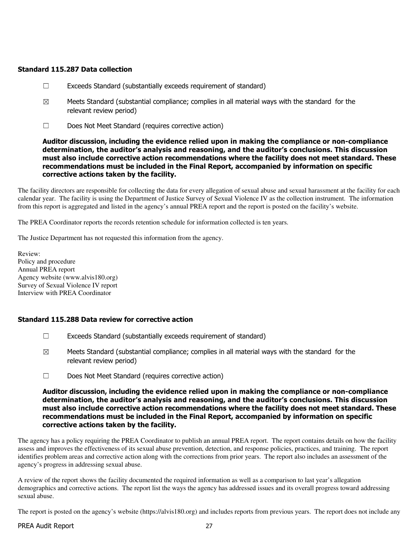### Standard 115.287 Data collection

- ☐ Exceeds Standard (substantially exceeds requirement of standard)
- $\boxtimes$  Meets Standard (substantial compliance; complies in all material ways with the standard for the relevant review period)
- ☐ Does Not Meet Standard (requires corrective action)

#### Auditor discussion, including the evidence relied upon in making the compliance or non-compliance determination, the auditor's analysis and reasoning, and the auditor's conclusions. This discussion must also include corrective action recommendations where the facility does not meet standard. These recommendations must be included in the Final Report, accompanied by information on specific corrective actions taken by the facility.

The facility directors are responsible for collecting the data for every allegation of sexual abuse and sexual harassment at the facility for each calendar year. The facility is using the Department of Justice Survey of Sexual Violence IV as the collection instrument. The information from this report is aggregated and listed in the agency's annual PREA report and the report is posted on the facility's website.

The PREA Coordinator reports the records retention schedule for information collected is ten years.

The Justice Department has not requested this information from the agency.

Review: Policy and procedure Annual PREA report Agency website (www.alvis180.org) Survey of Sexual Violence IV report Interview with PREA Coordinator

### Standard 115.288 Data review for corrective action

- ☐ Exceeds Standard (substantially exceeds requirement of standard)
- $\boxtimes$  Meets Standard (substantial compliance; complies in all material ways with the standard for the relevant review period)
- ☐ Does Not Meet Standard (requires corrective action)

#### Auditor discussion, including the evidence relied upon in making the compliance or non-compliance determination, the auditor's analysis and reasoning, and the auditor's conclusions. This discussion must also include corrective action recommendations where the facility does not meet standard. These recommendations must be included in the Final Report, accompanied by information on specific corrective actions taken by the facility.

The agency has a policy requiring the PREA Coordinator to publish an annual PREA report. The report contains details on how the facility assess and improves the effectiveness of its sexual abuse prevention, detection, and response policies, practices, and training. The report identifies problem areas and corrective action along with the corrections from prior years. The report also includes an assessment of the agency's progress in addressing sexual abuse.

A review of the report shows the facility documented the required information as well as a comparison to last year's allegation demographics and corrective actions. The report list the ways the agency has addressed issues and its overall progress toward addressing sexual abuse.

The report is posted on the agency's website (https://alvis180.org) and includes reports from previous years. The report does not include any